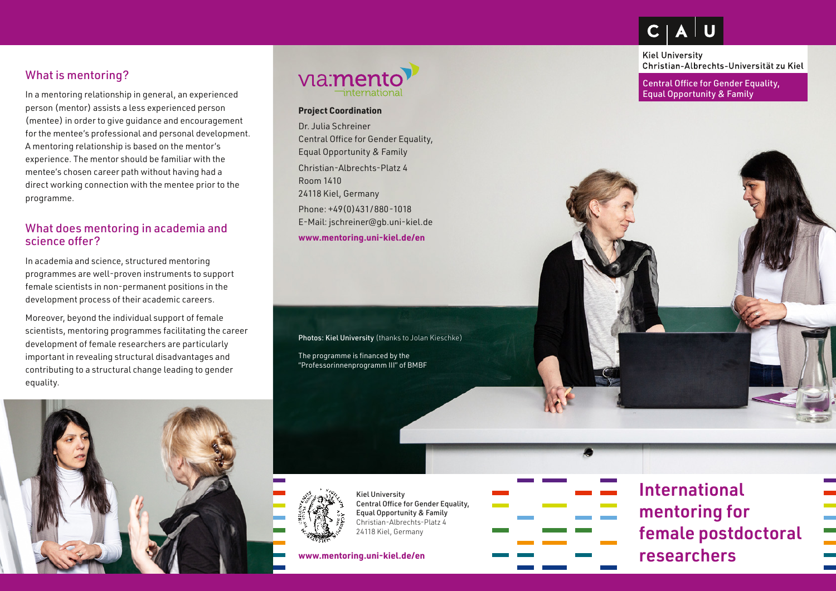## What is mentoring?

In a mentoring relationship in general, an experienced person (mentor) assists a less experienced person (mentee) in order to give guidance and encouragement for the mentee's professional and personal development. A mentoring relationship is based on the mentor's experience. The mentor should be familiar with the mentee's chosen career path without having had a direct working connection with the mentee prior to the programme.

#### What does mentoring in academia and science offer?

In academia and science, structured mentoring programmes are well-proven instruments to support female scientists in non-permanent positions in the development process of their academic careers.

Moreover, beyond the individual support of female scientists, mentoring programmes facilitating the career development of female researchers are particularly important in revealing structural disadvantages and contributing to a structural change leading to gender equality.





#### **Project Coordination**

Dr. Julia Schreiner Central Office for Gender Equality, Equal Opportunity & Family Christian-Albrechts-Platz 4 Room 1410 24118 Kiel, Germany Phone: +49(0)431/880-1018 E-Mail: [jschreiner@gb.uni-kiel.de](mailto:jschreiner%40gb.uni-kiel.de?subject=)

**[www.mentoring.uni-kiel.de/en](http://www.mentoring.uni-kiel.de/en)**

Photos: Kiel University (thanks to Jolan Kieschke)

The programme is financed by the "Professorinnenprogramm III" of BMBF



Kiel University Central Office for Gender Equality, Equal Opportunity & Family Christian-Albrechts-Platz 4 24118 Kiel, Germany

**www.mentoring.uni-kiel.de/en**



International mentoring for female postdoctoral researchers

**Kiel University** Christian-Albrechts-Universität zu Kiel

Central Office for Gender Equality, Equal Opportunity & Family